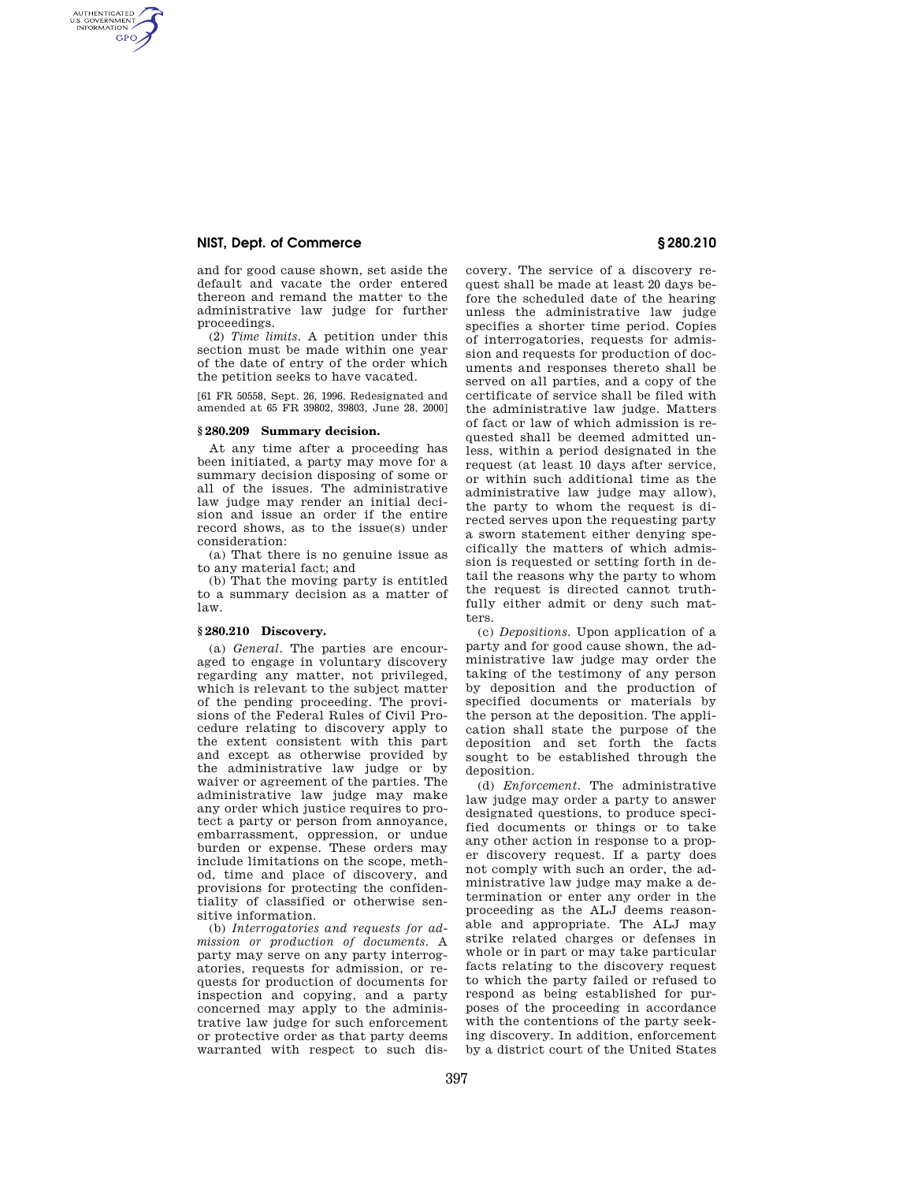# **NIST, Dept. of Commerce § 280.210**

AUTHENTICATED<br>U.S. GOVERNMENT<br>INFORMATION GPO

> and for good cause shown, set aside the default and vacate the order entered thereon and remand the matter to the administrative law judge for further proceedings.

> (2) *Time limits.* A petition under this section must be made within one year of the date of entry of the order which the petition seeks to have vacated.

> [61 FR 50558, Sept. 26, 1996. Redesignated and amended at 65 FR 39802, 39803, June 28, 2000]

#### **§ 280.209 Summary decision.**

At any time after a proceeding has been initiated, a party may move for a summary decision disposing of some or all of the issues. The administrative law judge may render an initial decision and issue an order if the entire record shows, as to the issue(s) under consideration:

(a) That there is no genuine issue as to any material fact; and

(b) That the moving party is entitled to a summary decision as a matter of law.

## **§ 280.210 Discovery.**

(a) *General.* The parties are encouraged to engage in voluntary discovery regarding any matter, not privileged, which is relevant to the subject matter of the pending proceeding. The provisions of the Federal Rules of Civil Procedure relating to discovery apply to the extent consistent with this part and except as otherwise provided by the administrative law judge or by waiver or agreement of the parties. The administrative law judge may make any order which justice requires to protect a party or person from annoyance, embarrassment, oppression, or undue burden or expense. These orders may include limitations on the scope, method, time and place of discovery, and provisions for protecting the confidentiality of classified or otherwise sensitive information.

(b) *Interrogatories and requests for admission or production of documents.* A party may serve on any party interrogatories, requests for admission, or requests for production of documents for inspection and copying, and a party concerned may apply to the administrative law judge for such enforcement or protective order as that party deems warranted with respect to such discovery. The service of a discovery request shall be made at least 20 days before the scheduled date of the hearing unless the administrative law judge specifies a shorter time period. Copies of interrogatories, requests for admission and requests for production of documents and responses thereto shall be served on all parties, and a copy of the certificate of service shall be filed with the administrative law judge. Matters of fact or law of which admission is requested shall be deemed admitted unless, within a period designated in the request (at least 10 days after service, or within such additional time as the administrative law judge may allow), the party to whom the request is directed serves upon the requesting party a sworn statement either denying specifically the matters of which admission is requested or setting forth in detail the reasons why the party to whom the request is directed cannot truthfully either admit or deny such matters.

(c) *Depositions.* Upon application of a party and for good cause shown, the administrative law judge may order the taking of the testimony of any person by deposition and the production of specified documents or materials by the person at the deposition. The application shall state the purpose of the deposition and set forth the facts sought to be established through the deposition.

(d) *Enforcement.* The administrative law judge may order a party to answer designated questions, to produce specified documents or things or to take any other action in response to a proper discovery request. If a party does not comply with such an order, the administrative law judge may make a determination or enter any order in the proceeding as the ALJ deems reasonable and appropriate. The ALJ may strike related charges or defenses in whole or in part or may take particular facts relating to the discovery request to which the party failed or refused to respond as being established for purposes of the proceeding in accordance with the contentions of the party seeking discovery. In addition, enforcement by a district court of the United States